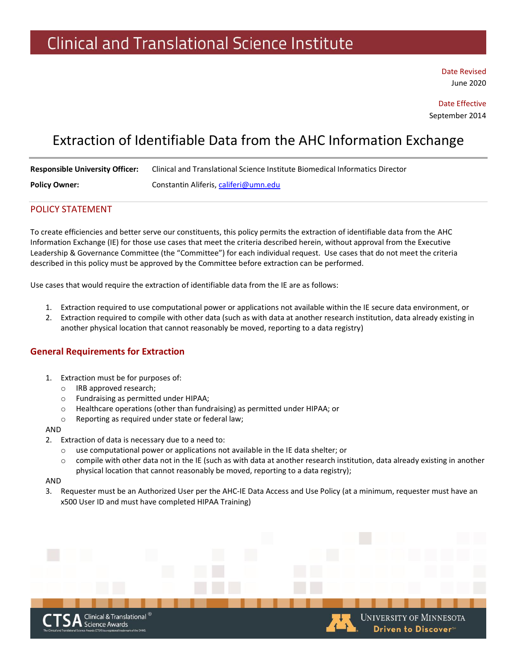Date Revised June 2020

Date Effective September 2014

**UNIVERSITY OF MINNESOTA** 

Driven to Discover<sup>®</sup>

## Extraction of Identifiable Data from the AHC Information Exchange

| <b>Responsible University Officer:</b> | Clinical and Translational Science Institute Biomedical Informatics Director |
|----------------------------------------|------------------------------------------------------------------------------|
| <b>Policy Owner:</b>                   | Constantin Aliferis, califeri@umn.edu                                        |

### POLICY STATEMENT

To create efficiencies and better serve our constituents, this policy permits the extraction of identifiable data from the AHC Information Exchange (IE) for those use cases that meet the criteria described herein, without approval from the Executive Leadership & Governance Committee (the "Committee") for each individual request. Use cases that do not meet the criteria described in this policy must be approved by the Committee before extraction can be performed.

Use cases that would require the extraction of identifiable data from the IE are as follows:

- 1. Extraction required to use computational power or applications not available within the IE secure data environment, or
- 2. Extraction required to compile with other data (such as with data at another research institution, data already existing in another physical location that cannot reasonably be moved, reporting to a data registry)

## **General Requirements for Extraction**

- 1. Extraction must be for purposes of:
	- o IRB approved research;
	- o Fundraising as permitted under HIPAA;
	- o Healthcare operations (other than fundraising) as permitted under HIPAA; or
	- o Reporting as required under state or federal law;

#### AND

- 2. Extraction of data is necessary due to a need to:
	- o use computational power or applications not available in the IE data shelter; or
	- $\circ$  compile with other data not in the IE (such as with data at another research institution, data already existing in another physical location that cannot reasonably be moved, reporting to a data registry);

#### AND

3. Requester must be an Authorized User per the AHC-IE Data Access and Use Policy (at a minimum, requester must have an x500 User ID and must have completed HIPAA Training)

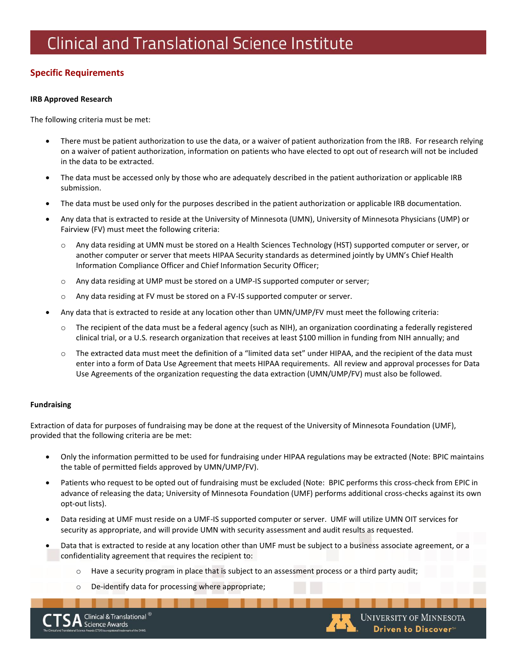## **Specific Requirements**

### **IRB Approved Research**

The following criteria must be met:

- There must be patient authorization to use the data, or a waiver of patient authorization from the IRB. For research relying on a waiver of patient authorization, information on patients who have elected to opt out of research will not be included in the data to be extracted.
- The data must be accessed only by those who are adequately described in the patient authorization or applicable IRB submission.
- The data must be used only for the purposes described in the patient authorization or applicable IRB documentation.
- Any data that is extracted to reside at the University of Minnesota (UMN), University of Minnesota Physicians (UMP) or Fairview (FV) must meet the following criteria:
	- Any data residing at UMN must be stored on a Health Sciences Technology (HST) supported computer or server, or another computer or server that meets HIPAA Security standards as determined jointly by UMN's Chief Health Information Compliance Officer and Chief Information Security Officer;
	- o Any data residing at UMP must be stored on a UMP-IS supported computer or server;
	- o Any data residing at FV must be stored on a FV-IS supported computer or server.
- Any data that is extracted to reside at any location other than UMN/UMP/FV must meet the following criteria:
	- $\circ$  The recipient of the data must be a federal agency (such as NIH), an organization coordinating a federally registered clinical trial, or a U.S. research organization that receives at least \$100 million in funding from NIH annually; and
	- o The extracted data must meet the definition of a "limited data set" under HIPAA, and the recipient of the data must enter into a form of Data Use Agreement that meets HIPAA requirements. All review and approval processes for Data Use Agreements of the organization requesting the data extraction (UMN/UMP/FV) must also be followed.

### **Fundraising**

Extraction of data for purposes of fundraising may be done at the request of the University of Minnesota Foundation (UMF), provided that the following criteria are be met:

- Only the information permitted to be used for fundraising under HIPAA regulations may be extracted (Note: BPIC maintains the table of permitted fields approved by UMN/UMP/FV).
- Patients who request to be opted out of fundraising must be excluded (Note: BPIC performs this cross-check from EPIC in advance of releasing the data; University of Minnesota Foundation (UMF) performs additional cross-checks against its own opt-out lists).
- Data residing at UMF must reside on a UMF-IS supported computer or server. UMF will utilize UMN OIT services for security as appropriate, and will provide UMN with security assessment and audit results as requested.
- Data that is extracted to reside at any location other than UMF must be subject to a business associate agreement, or a confidentiality agreement that requires the recipient to:
	- o Have a security program in place that is subject to an assessment process or a third party audit;
	- o De-identify data for processing where appropriate;

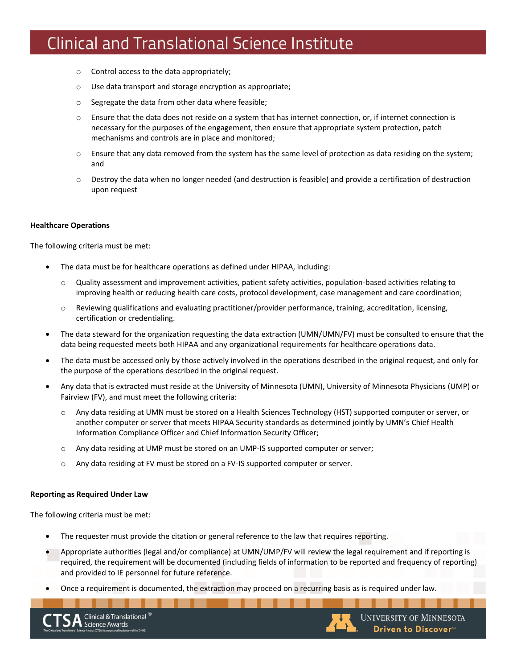- o Control access to the data appropriately;
- o Use data transport and storage encryption as appropriate;
- o Segregate the data from other data where feasible;
- Ensure that the data does not reside on a system that has internet connection, or, if internet connection is necessary for the purposes of the engagement, then ensure that appropriate system protection, patch mechanisms and controls are in place and monitored;
- $\circ$  Ensure that any data removed from the system has the same level of protection as data residing on the system; and
- $\circ$  Destroy the data when no longer needed (and destruction is feasible) and provide a certification of destruction upon request

### **Healthcare Operations**

The following criteria must be met:

- The data must be for healthcare operations as defined under HIPAA, including:
	- Quality assessment and improvement activities, patient safety activities, population-based activities relating to improving health or reducing health care costs, protocol development, case management and care coordination;
	- $\circ$  Reviewing qualifications and evaluating practitioner/provider performance, training, accreditation, licensing, certification or credentialing.
- The data steward for the organization requesting the data extraction (UMN/UMN/FV) must be consulted to ensure that the data being requested meets both HIPAA and any organizational requirements for healthcare operations data.
- The data must be accessed only by those actively involved in the operations described in the original request, and only for the purpose of the operations described in the original request.
- Any data that is extracted must reside at the University of Minnesota (UMN), University of Minnesota Physicians (UMP) or Fairview (FV), and must meet the following criteria:
	- Any data residing at UMN must be stored on a Health Sciences Technology (HST) supported computer or server, or another computer or server that meets HIPAA Security standards as determined jointly by UMN's Chief Health Information Compliance Officer and Chief Information Security Officer;
	- o Any data residing at UMP must be stored on an UMP-IS supported computer or server;
	- o Any data residing at FV must be stored on a FV-IS supported computer or server.

#### **Reporting as Required Under Law**

The following criteria must be met:

- The requester must provide the citation or general reference to the law that requires reporting.
- Appropriate authorities (legal and/or compliance) at UMN/UMP/FV will review the legal requirement and if reporting is required, the requirement will be documented (including fields of information to be reported and frequency of reporting) and provided to IE personnel for future reference.
- Once a requirement is documented, the extraction may proceed on a recurring basis as is required under law.

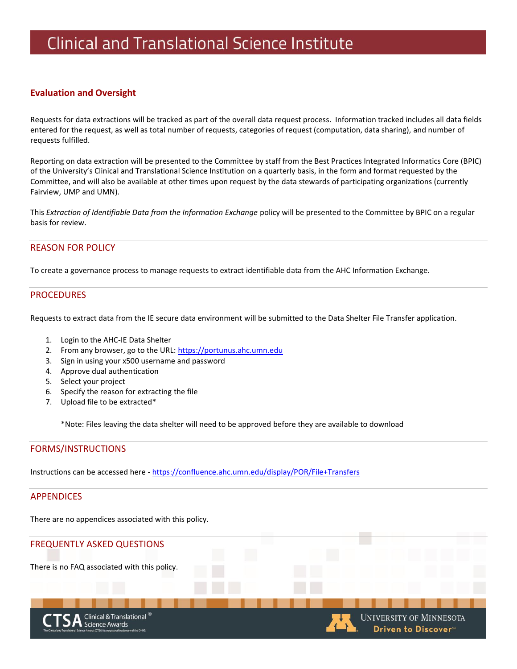## **Evaluation and Oversight**

Requests for data extractions will be tracked as part of the overall data request process. Information tracked includes all data fields entered for the request, as well as total number of requests, categories of request (computation, data sharing), and number of requests fulfilled.

Reporting on data extraction will be presented to the Committee by staff from the Best Practices Integrated Informatics Core (BPIC) of the University's Clinical and Translational Science Institution on a quarterly basis, in the form and format requested by the Committee, and will also be available at other times upon request by the data stewards of participating organizations (currently Fairview, UMP and UMN).

This *Extraction of Identifiable Data from the Information Exchange* policy will be presented to the Committee by BPIC on a regular basis for review.

### REASON FOR POLICY

To create a governance process to manage requests to extract identifiable data from the AHC Information Exchange.

### PROCEDURES

Requests to extract data from the IE secure data environment will be submitted to the Data Shelter File Transfer application.

- 1. Login to the AHC-IE Data Shelter
- 2. From any browser, go to the URL[: https://portunus.ahc.umn.edu](https://portunus.ahc.umn.edu/)
- 3. Sign in using your x500 username and password
- 4. Approve dual authentication
- 5. Select your project
- 6. Specify the reason for extracting the file
- 7. Upload file to be extracted\*

\*Note: Files leaving the data shelter will need to be approved before they are available to download

### FORMS/INSTRUCTIONS

Instructions can be accessed here - <https://confluence.ahc.umn.edu/display/POR/File+Transfers>

### APPENDICES

There are no appendices associated with this policy.